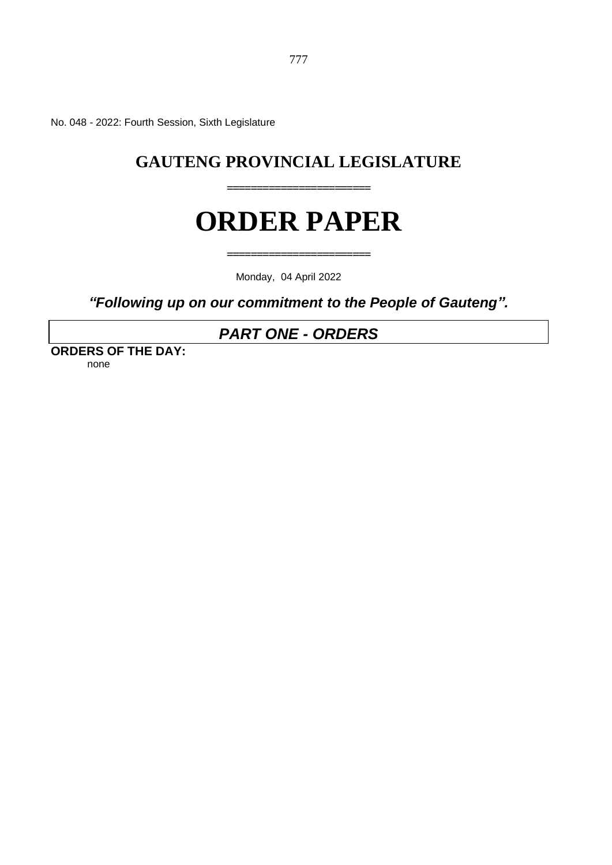No. 048 - 2022: Fourth Session, Sixth Legislature

# **GAUTENG PROVINCIAL LEGISLATURE**

**========================**

# **ORDER PAPER**

**========================**

Monday, 04 April 2022

*"Following up on our commitment to the People of Gauteng".* 

# *PART ONE - ORDERS*

**ORDERS OF THE DAY:** none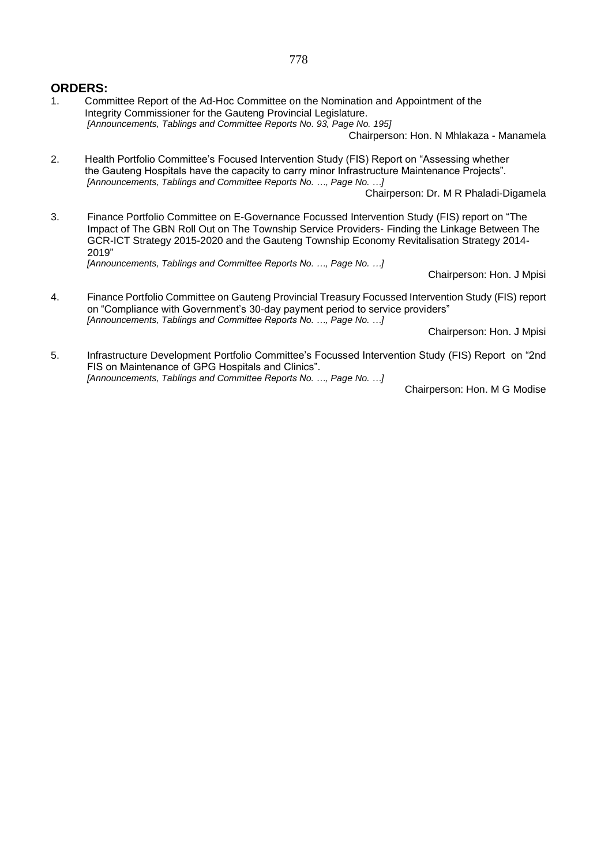#### **ORDERS:**

1. Committee Report of the Ad-Hoc Committee on the Nomination and Appointment of the Integrity Commissioner for the Gauteng Provincial Legislature. *[Announcements, Tablings and Committee Reports No. 93, Page No. 195]*

Chairperson: Hon. N Mhlakaza - Manamela

2. Health Portfolio Committee's Focused Intervention Study (FIS) Report on "Assessing whether the Gauteng Hospitals have the capacity to carry minor Infrastructure Maintenance Projects". *[Announcements, Tablings and Committee Reports No. …, Page No. …]*

Chairperson: Dr. M R Phaladi-Digamela

3. Finance Portfolio Committee on E-Governance Focussed Intervention Study (FIS) report on "The Impact of The GBN Roll Out on The Township Service Providers- Finding the Linkage Between The GCR-ICT Strategy 2015-2020 and the Gauteng Township Economy Revitalisation Strategy 2014- 2019"

*[Announcements, Tablings and Committee Reports No. …, Page No. …]*

Chairperson: Hon. J Mpisi

4. Finance Portfolio Committee on Gauteng Provincial Treasury Focussed Intervention Study (FIS) report on "Compliance with Government's 30-day payment period to service providers" *[Announcements, Tablings and Committee Reports No. …, Page No. …]*

Chairperson: Hon. J Mpisi

5. Infrastructure Development Portfolio Committee's Focussed Intervention Study (FIS) Report on "2nd FIS on Maintenance of GPG Hospitals and Clinics". *[Announcements, Tablings and Committee Reports No. …, Page No. …]*

Chairperson: Hon. M G Modise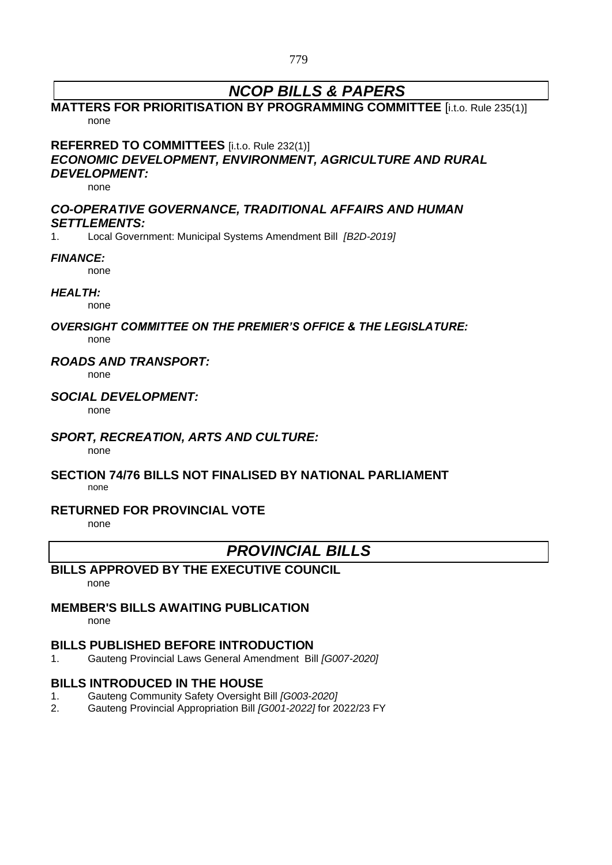# *NCOP BILLS & PAPERS*

### **MATTERS FOR PRIORITISATION BY PROGRAMMING COMMITTEE** [i.t.o. Rule 235(1)] none

**REFERRED TO COMMITTEES** [i.t.o. Rule 232(1)]

### *ECONOMIC DEVELOPMENT, ENVIRONMENT, AGRICULTURE AND RURAL DEVELOPMENT:*

none

### *CO-OPERATIVE GOVERNANCE, TRADITIONAL AFFAIRS AND HUMAN SETTLEMENTS:*

1. Local Government: Municipal Systems Amendment Bill *[B2D-2019]*

### *FINANCE:*

none

### *HEALTH:*

none

### *OVERSIGHT COMMITTEE ON THE PREMIER'S OFFICE & THE LEGISLATURE:* none

### *ROADS AND TRANSPORT:*

none

### *SOCIAL DEVELOPMENT:*

none

### *SPORT, RECREATION, ARTS AND CULTURE:*

none

### **SECTION 74/76 BILLS NOT FINALISED BY NATIONAL PARLIAMENT**

none

### **RETURNED FOR PROVINCIAL VOTE**

none

## *PROVINCIAL BILLS*

### **BILLS APPROVED BY THE EXECUTIVE COUNCIL**

none

### **MEMBER'S BILLS AWAITING PUBLICATION**

none

### **BILLS PUBLISHED BEFORE INTRODUCTION**

1. Gauteng Provincial Laws General Amendment Bill *[G007-2020]*

### **BILLS INTRODUCED IN THE HOUSE**

- 1. Gauteng Community Safety Oversight Bill *[G003-2020]*
- 2. Gauteng Provincial Appropriation Bill *[G001-2022]* for 2022/23 FY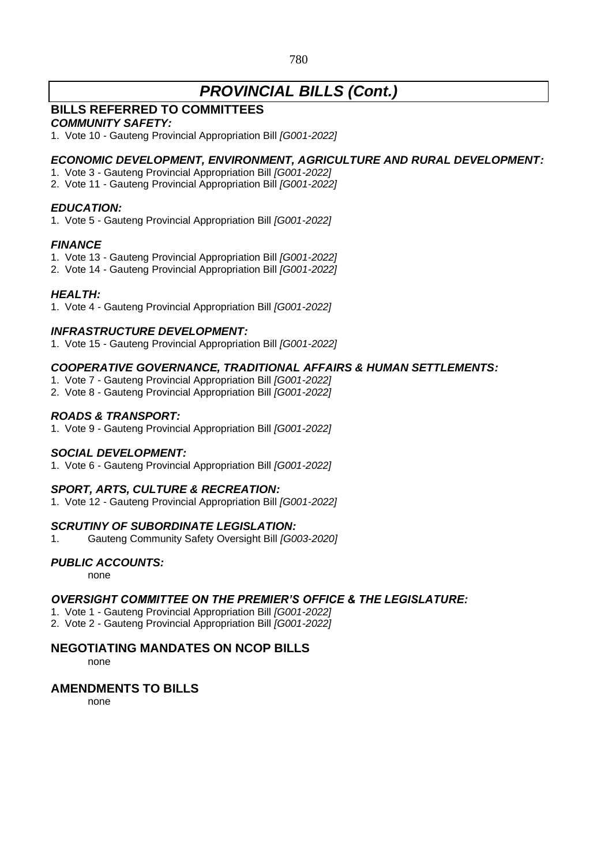### 780

# *PROVINCIAL BILLS (Cont.)*

### **BILLS REFERRED TO COMMITTEES**

### *COMMUNITY SAFETY:*

1. Vote 10 - Gauteng Provincial Appropriation Bill *[G001-2022]*

### *ECONOMIC DEVELOPMENT, ENVIRONMENT, AGRICULTURE AND RURAL DEVELOPMENT:*

- 1. Vote 3 Gauteng Provincial Appropriation Bill *[G001-2022]*
- 2. Vote 11 Gauteng Provincial Appropriation Bill *[G001-2022]*

### *EDUCATION:*

1. Vote 5 - Gauteng Provincial Appropriation Bill *[G001-2022]*

### *FINANCE*

- 1. Vote 13 Gauteng Provincial Appropriation Bill *[G001-2022]*
- 2. Vote 14 Gauteng Provincial Appropriation Bill *[G001-2022]*

### *HEALTH:*

1. Vote 4 - Gauteng Provincial Appropriation Bill *[G001-2022]*

### *INFRASTRUCTURE DEVELOPMENT:*

1. Vote 15 - Gauteng Provincial Appropriation Bill *[G001-2022]*

### *COOPERATIVE GOVERNANCE, TRADITIONAL AFFAIRS & HUMAN SETTLEMENTS:*

- 1. Vote 7 Gauteng Provincial Appropriation Bill *[G001-2022]*
- 2. Vote 8 Gauteng Provincial Appropriation Bill *[G001-2022]*

### *ROADS & TRANSPORT:*

1. Vote 9 - Gauteng Provincial Appropriation Bill *[G001-2022]*

### *SOCIAL DEVELOPMENT:*

1. Vote 6 - Gauteng Provincial Appropriation Bill *[G001-2022]*

### *SPORT, ARTS, CULTURE & RECREATION:*

1. Vote 12 - Gauteng Provincial Appropriation Bill *[G001-2022]*

### *SCRUTINY OF SUBORDINATE LEGISLATION:*

1. Gauteng Community Safety Oversight Bill *[G003-2020]*

### *PUBLIC ACCOUNTS:*

none

### *OVERSIGHT COMMITTEE ON THE PREMIER'S OFFICE & THE LEGISLATURE:*

- 1. Vote 1 Gauteng Provincial Appropriation Bill *[G001-2022]*
- 2. Vote 2 Gauteng Provincial Appropriation Bill *[G001-2022]*

### **NEGOTIATING MANDATES ON NCOP BILLS**

none

### **AMENDMENTS TO BILLS**

none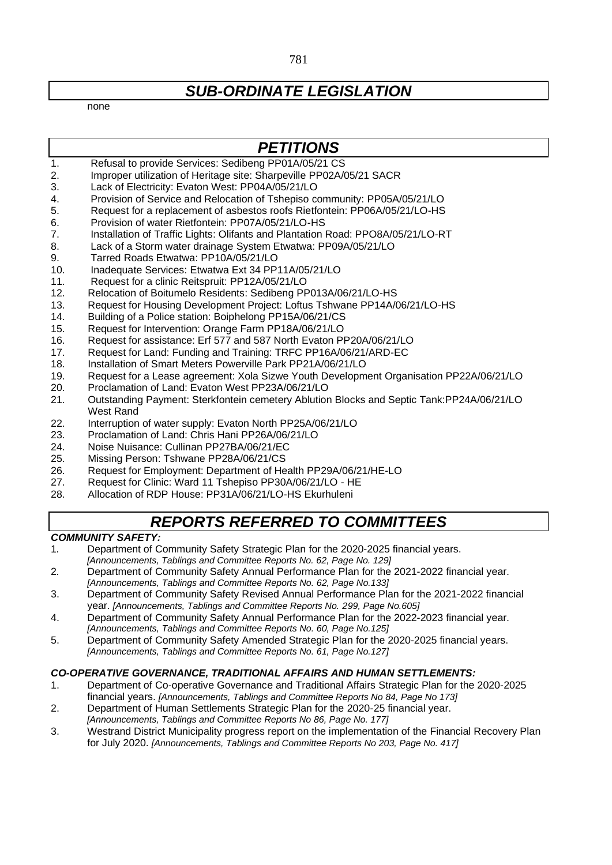# *SUB-ORDINATE LEGISLATION*

none

### *PETITIONS*

- 1. Refusal to provide Services: Sedibeng PP01A/05/21 CS
- 2. Improper utilization of Heritage site: Sharpeville PP02A/05/21 SACR
- 3. Lack of Electricity: Evaton West: PP04A/05/21/LO
- 4. Provision of Service and Relocation of Tshepiso community: PP05A/05/21/LO
- 5. Request for a replacement of asbestos roofs Rietfontein: PP06A/05/21/LO-HS
- 6. Provision of water Rietfontein: PP07A/05/21/LO-HS
- 7. Installation of Traffic Lights: Olifants and Plantation Road: PPO8A/05/21/LO-RT
- 8. Lack of a Storm water drainage System Etwatwa: PP09A/05/21/LO
- 9. Tarred Roads Etwatwa: PP10A/05/21/LO
- 10. Inadequate Services: Etwatwa Ext 34 PP11A/05/21/LO
- 11. Request for a clinic Reitspruit: PP12A/05/21/LO
- 12. Relocation of Boitumelo Residents: Sedibeng PP013A/06/21/LO-HS
- 13. Request for Housing Development Project: Loftus Tshwane PP14A/06/21/LO-HS
- 14. Building of a Police station: Boiphelong PP15A/06/21/CS
- 15. Request for Intervention: Orange Farm PP18A/06/21/LO
- 16. Request for assistance: Erf 577 and 587 North Evaton PP20A/06/21/LO
- 17. Request for Land: Funding and Training: TRFC PP16A/06/21/ARD-EC
- 18. Installation of Smart Meters Powerville Park PP21A/06/21/LO
- 19. Request for a Lease agreement: Xola Sizwe Youth Development Organisation PP22A/06/21/LO<br>20. Proclamation of Land: Evaton West PP23A/06/21/LO
- Proclamation of Land: Evaton West PP23A/06/21/LO
- 21. Outstanding Payment: Sterkfontein cemetery Ablution Blocks and Septic Tank:PP24A/06/21/LO West Rand
- 22. Interruption of water supply: Evaton North PP25A/06/21/LO
- 23. Proclamation of Land: Chris Hani PP26A/06/21/LO
- 24. Noise Nuisance: Cullinan PP27BA/06/21/EC
- 25. Missing Person: Tshwane PP28A/06/21/CS
- 26. Request for Employment: Department of Health PP29A/06/21/HE-LO
- 27. Request for Clinic: Ward 11 Tshepiso PP30A/06/21/LO HE
- 28. Allocation of RDP House: PP31A/06/21/LO-HS Ekurhuleni

## *REPORTS REFERRED TO COMMITTEES*

#### *COMMUNITY SAFETY:*

- 1*.* Department of Community Safety Strategic Plan for the 2020-2025 financial years. *[Announcements, Tablings and Committee Reports No. 62, Page No. 129]*
- 2*.* Department of Community Safety Annual Performance Plan for the 2021-2022 financial year.
- *[Announcements, Tablings and Committee Reports No. 62, Page No.133]*
- 3. Department of Community Safety Revised Annual Performance Plan for the 2021-2022 financial year. *[Announcements, Tablings and Committee Reports No. 299, Page No.605]*
- 4. Department of Community Safety Annual Performance Plan for the 2022-2023 financial year. *[Announcements, Tablings and Committee Reports No. 60, Page No.125]*
- 5. Department of Community Safety Amended Strategic Plan for the 2020-2025 financial years. *[Announcements, Tablings and Committee Reports No. 61, Page No.127]*

#### *CO-OPERATIVE GOVERNANCE, TRADITIONAL AFFAIRS AND HUMAN SETTLEMENTS:*

- 1. Department of Co-operative Governance and Traditional Affairs Strategic Plan for the 2020-2025 financial years. *[Announcements, Tablings and Committee Reports No 84, Page No 173]*
- 2. Department of Human Settlements Strategic Plan for the 2020-25 financial year.
- *[Announcements, Tablings and Committee Reports No 86, Page No. 177]*
- 3. Westrand District Municipality progress report on the implementation of the Financial Recovery Plan for July 2020. *[Announcements, Tablings and Committee Reports No 203, Page No. 417]*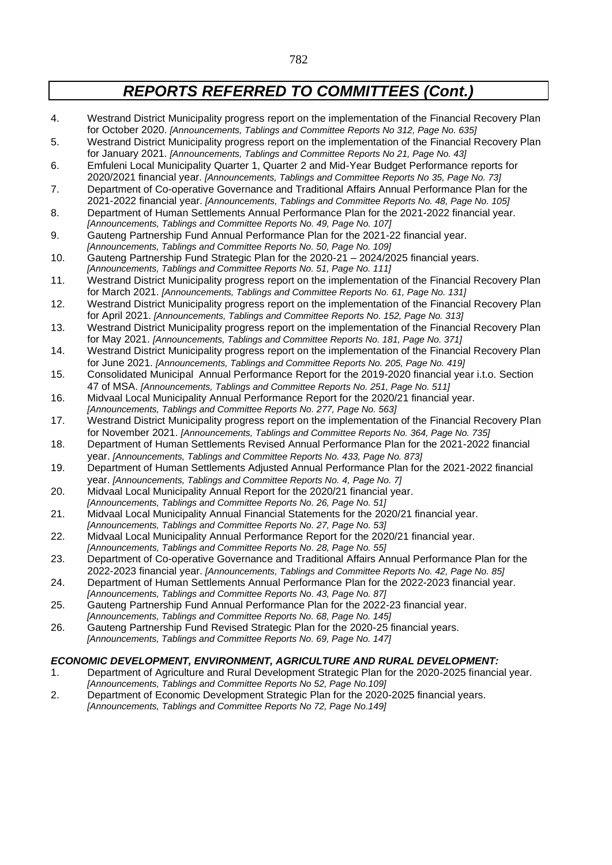- 4. Westrand District Municipality progress report on the implementation of the Financial Recovery Plan for October 2020. *[Announcements, Tablings and Committee Reports No 312, Page No. 635]*
- 5. Westrand District Municipality progress report on the implementation of the Financial Recovery Plan for January 2021. *[Announcements, Tablings and Committee Reports No 21, Page No. 43]*
- 6. Emfuleni Local Municipality Quarter 1, Quarter 2 and Mid-Year Budget Performance reports for 2020/2021 financial year. *[Announcements, Tablings and Committee Reports No 35, Page No. 73]*
- 7. Department of Co-operative Governance and Traditional Affairs Annual Performance Plan for the 2021-2022 financial year. *[Announcements, Tablings and Committee Reports No. 48, Page No. 105]*
- 8. Department of Human Settlements Annual Performance Plan for the 2021-2022 financial year.
- *[Announcements, Tablings and Committee Reports No. 49, Page No. 107]* 9. Gauteng Partnership Fund Annual Performance Plan for the 2021-22 financial year.
- *[Announcements, Tablings and Committee Reports No. 50, Page No. 109]*
- 10. Gauteng Partnership Fund Strategic Plan for the 2020-21 2024/2025 financial years. *[Announcements, Tablings and Committee Reports No. 51, Page No. 111]*
- 11. Westrand District Municipality progress report on the implementation of the Financial Recovery Plan for March 2021. *[Announcements, Tablings and Committee Reports No. 61, Page No. 131]*
- 12. Westrand District Municipality progress report on the implementation of the Financial Recovery Plan for April 2021. *[Announcements, Tablings and Committee Reports No. 152, Page No. 313]*
- 13. Westrand District Municipality progress report on the implementation of the Financial Recovery Plan for May 2021. *[Announcements, Tablings and Committee Reports No. 181, Page No. 371]*
- 14. Westrand District Municipality progress report on the implementation of the Financial Recovery Plan for June 2021. *[Announcements, Tablings and Committee Reports No. 205, Page No. 419]*
- 15. Consolidated Municipal Annual Performance Report for the 2019-2020 financial year i.t.o. Section 47 of MSA. *[Announcements, Tablings and Committee Reports No. 251, Page No. 511]*
- 16. Midvaal Local Municipality Annual Performance Report for the 2020/21 financial year. *[Announcements, Tablings and Committee Reports No. 277, Page No. 563]*
- 17. Westrand District Municipality progress report on the implementation of the Financial Recovery Plan for November 2021. *[Announcements, Tablings and Committee Reports No. 364, Page No. 735]*
- 18. Department of Human Settlements Revised Annual Performance Plan for the 2021-2022 financial year. *[Announcements, Tablings and Committee Reports No. 433, Page No. 873]*
- 19. Department of Human Settlements Adjusted Annual Performance Plan for the 2021-2022 financial year. *[Announcements, Tablings and Committee Reports No. 4, Page No. 7]*
- 20. Midvaal Local Municipality Annual Report for the 2020/21 financial year.
- *[Announcements, Tablings and Committee Reports No. 26, Page No. 51]*
- 21. Midvaal Local Municipality Annual Financial Statements for the 2020/21 financial year. *[Announcements, Tablings and Committee Reports No. 27, Page No. 53]*
- 22. Midvaal Local Municipality Annual Performance Report for the 2020/21 financial year. *[Announcements, Tablings and Committee Reports No. 28, Page No. 55]*
- 23. Department of Co-operative Governance and Traditional Affairs Annual Performance Plan for the 2022-2023 financial year. *[Announcements, Tablings and Committee Reports No. 42, Page No. 85]*
- 24. Department of Human Settlements Annual Performance Plan for the 2022-2023 financial year. *[Announcements, Tablings and Committee Reports No. 43, Page No. 87]*
- 25. Gauteng Partnership Fund Annual Performance Plan for the 2022-23 financial year. *[Announcements, Tablings and Committee Reports No. 68, Page No. 145]*
- 26. Gauteng Partnership Fund Revised Strategic Plan for the 2020-25 financial years. *[Announcements, Tablings and Committee Reports No. 69, Page No. 147]*

### *ECONOMIC DEVELOPMENT, ENVIRONMENT, AGRICULTURE AND RURAL DEVELOPMENT:*

- 1. Department of Agriculture and Rural Development Strategic Plan for the 2020-2025 financial year. *[Announcements, Tablings and Committee Reports No 52, Page No.109]*
- 2. Department of Economic Development Strategic Plan for the 2020-2025 financial years. *[Announcements, Tablings and Committee Reports No 72, Page No.149]*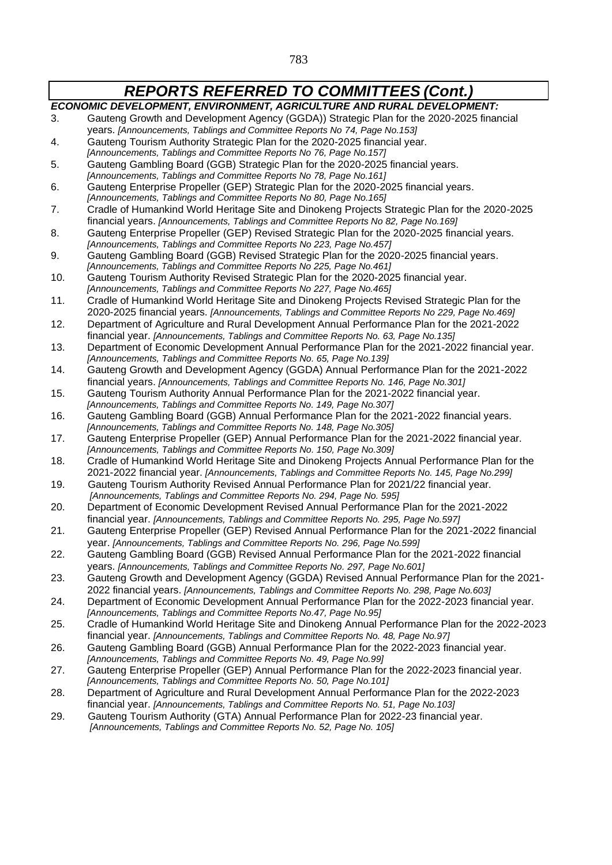| <b>REPORTS REFERRED TO COMMITTEES (Cont.)</b>                         |                                                                                                                                                                   |
|-----------------------------------------------------------------------|-------------------------------------------------------------------------------------------------------------------------------------------------------------------|
| ECONOMIC DEVELOPMENT, ENVIRONMENT, AGRICULTURE AND RURAL DEVELOPMENT: |                                                                                                                                                                   |
| 3.                                                                    | Gauteng Growth and Development Agency (GGDA)) Strategic Plan for the 2020-2025 financial                                                                          |
|                                                                       | years. [Announcements, Tablings and Committee Reports No 74, Page No.153]                                                                                         |
| 4.                                                                    | Gauteng Tourism Authority Strategic Plan for the 2020-2025 financial year.                                                                                        |
|                                                                       | [Announcements, Tablings and Committee Reports No 76, Page No. 157]                                                                                               |
| 5.                                                                    | Gauteng Gambling Board (GGB) Strategic Plan for the 2020-2025 financial years.                                                                                    |
|                                                                       | [Announcements, Tablings and Committee Reports No 78, Page No. 161]                                                                                               |
| 6.                                                                    | Gauteng Enterprise Propeller (GEP) Strategic Plan for the 2020-2025 financial years.                                                                              |
|                                                                       | [Announcements, Tablings and Committee Reports No 80, Page No. 165]                                                                                               |
| 7.                                                                    | Cradle of Humankind World Heritage Site and Dinokeng Projects Strategic Plan for the 2020-2025                                                                    |
|                                                                       | financial years. [Announcements, Tablings and Committee Reports No 82, Page No.169]                                                                               |
| 8.                                                                    | Gauteng Enterprise Propeller (GEP) Revised Strategic Plan for the 2020-2025 financial years.                                                                      |
| 9.                                                                    | [Announcements, Tablings and Committee Reports No 223, Page No.457]<br>Gauteng Gambling Board (GGB) Revised Strategic Plan for the 2020-2025 financial years.     |
|                                                                       | [Announcements, Tablings and Committee Reports No 225, Page No.461]                                                                                               |
| 10.                                                                   | Gauteng Tourism Authority Revised Strategic Plan for the 2020-2025 financial year.                                                                                |
|                                                                       | [Announcements, Tablings and Committee Reports No 227, Page No.465]                                                                                               |
| 11.                                                                   | Cradle of Humankind World Heritage Site and Dinokeng Projects Revised Strategic Plan for the                                                                      |
|                                                                       | 2020-2025 financial years. [Announcements, Tablings and Committee Reports No 229, Page No.469]                                                                    |
| 12.                                                                   | Department of Agriculture and Rural Development Annual Performance Plan for the 2021-2022                                                                         |
|                                                                       | financial year. [Announcements, Tablings and Committee Reports No. 63, Page No.135]                                                                               |
| 13.                                                                   | Department of Economic Development Annual Performance Plan for the 2021-2022 financial year.                                                                      |
|                                                                       | [Announcements, Tablings and Committee Reports No. 65, Page No.139]                                                                                               |
| 14.                                                                   | Gauteng Growth and Development Agency (GGDA) Annual Performance Plan for the 2021-2022                                                                            |
|                                                                       | financial years. [Announcements, Tablings and Committee Reports No. 146, Page No.301]                                                                             |
| 15.                                                                   | Gauteng Tourism Authority Annual Performance Plan for the 2021-2022 financial year.                                                                               |
|                                                                       | [Announcements, Tablings and Committee Reports No. 149, Page No.307]                                                                                              |
| 16.                                                                   | Gauteng Gambling Board (GGB) Annual Performance Plan for the 2021-2022 financial years.<br>[Announcements, Tablings and Committee Reports No. 148, Page No.305]   |
| 17.                                                                   | Gauteng Enterprise Propeller (GEP) Annual Performance Plan for the 2021-2022 financial year.                                                                      |
|                                                                       | [Announcements, Tablings and Committee Reports No. 150, Page No.309]                                                                                              |
| 18.                                                                   | Cradle of Humankind World Heritage Site and Dinokeng Projects Annual Performance Plan for the                                                                     |
|                                                                       | 2021-2022 financial year. [Announcements, Tablings and Committee Reports No. 145, Page No.299]                                                                    |
| 19.                                                                   | Gauteng Tourism Authority Revised Annual Performance Plan for 2021/22 financial year.                                                                             |
|                                                                       | [Announcements, Tablings and Committee Reports No. 294, Page No. 595]                                                                                             |
| 20.                                                                   | Department of Economic Development Revised Annual Performance Plan for the 2021-2022                                                                              |
|                                                                       | financial year. [Announcements, Tablings and Committee Reports No. 295, Page No.597]                                                                              |
| 21.                                                                   | Gauteng Enterprise Propeller (GEP) Revised Annual Performance Plan for the 2021-2022 financial                                                                    |
|                                                                       | year. [Announcements, Tablings and Committee Reports No. 296, Page No.599]                                                                                        |
| 22.                                                                   | Gauteng Gambling Board (GGB) Revised Annual Performance Plan for the 2021-2022 financial                                                                          |
|                                                                       | years. [Announcements, Tablings and Committee Reports No. 297, Page No.601]                                                                                       |
| 23.                                                                   | Gauteng Growth and Development Agency (GGDA) Revised Annual Performance Plan for the 2021-                                                                        |
|                                                                       | 2022 financial years. [Announcements, Tablings and Committee Reports No. 298, Page No.603]                                                                        |
| 24.                                                                   | Department of Economic Development Annual Performance Plan for the 2022-2023 financial year.<br>[Announcements, Tablings and Committee Reports No.47, Page No.95] |
| 25.                                                                   | Cradle of Humankind World Heritage Site and Dinokeng Annual Performance Plan for the 2022-2023                                                                    |
|                                                                       | financial year. [Announcements, Tablings and Committee Reports No. 48, Page No.97]                                                                                |
| 26.                                                                   | Gauteng Gambling Board (GGB) Annual Performance Plan for the 2022-2023 financial year.                                                                            |
|                                                                       | [Announcements, Tablings and Committee Reports No. 49, Page No.99]                                                                                                |
| 27.                                                                   | Gauteng Enterprise Propeller (GEP) Annual Performance Plan for the 2022-2023 financial year.                                                                      |
|                                                                       | [Announcements, Tablings and Committee Reports No. 50, Page No. 101]                                                                                              |
| 28.                                                                   | Department of Agriculture and Rural Development Annual Performance Plan for the 2022-2023                                                                         |
|                                                                       | financial year. [Announcements, Tablings and Committee Reports No. 51, Page No.103]                                                                               |
| 29.                                                                   | Gauteng Tourism Authority (GTA) Annual Performance Plan for 2022-23 financial year.                                                                               |
|                                                                       | [Announcements, Tablings and Committee Reports No. 52, Page No. 105]                                                                                              |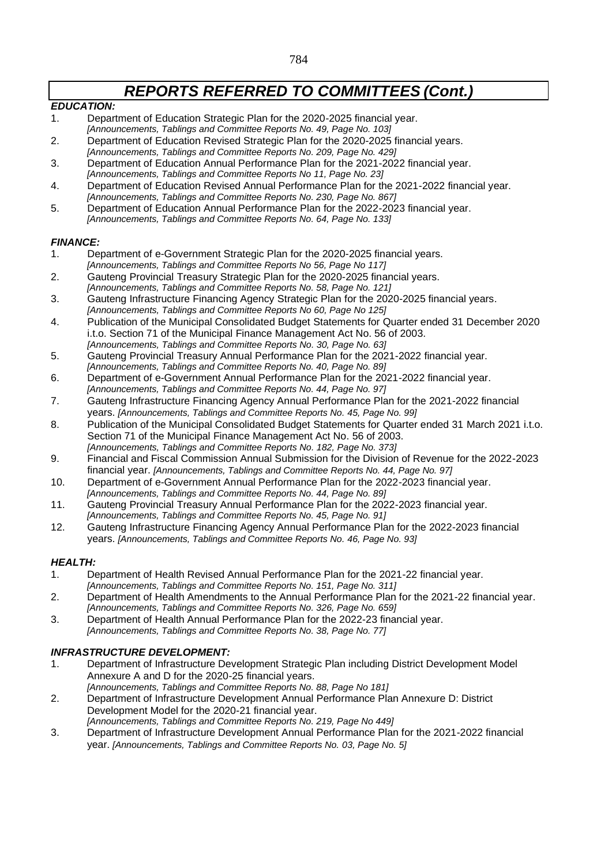### *EDUCATION:*

- 1. Department of Education Strategic Plan for the 2020-2025 financial year. *[Announcements, Tablings and Committee Reports No. 49, Page No. 103]*
- 2. Department of Education Revised Strategic Plan for the 2020-2025 financial years.
- *[Announcements, Tablings and Committee Reports No. 209, Page No. 429]* 3. Department of Education Annual Performance Plan for the 2021-2022 financial year.
- *[Announcements, Tablings and Committee Reports No 11, Page No. 23]*
- 4. Department of Education Revised Annual Performance Plan for the 2021-2022 financial year. *[Announcements, Tablings and Committee Reports No. 230, Page No. 867]*
- 5. Department of Education Annual Performance Plan for the 2022-2023 financial year. *[Announcements, Tablings and Committee Reports No. 64, Page No. 133]*

### *FINANCE:*

- 1. Department of e-Government Strategic Plan for the 2020-2025 financial years. *[Announcements, Tablings and Committee Reports No 56, Page No 117]*
- 2. Gauteng Provincial Treasury Strategic Plan for the 2020-2025 financial years. *[Announcements, Tablings and Committee Reports No. 58, Page No. 121]*
- 3. Gauteng Infrastructure Financing Agency Strategic Plan for the 2020-2025 financial years. *[Announcements, Tablings and Committee Reports No 60, Page No 125]*
- 4. Publication of the Municipal Consolidated Budget Statements for Quarter ended 31 December 2020 i.t.o. Section 71 of the Municipal Finance Management Act No. 56 of 2003. *[Announcements, Tablings and Committee Reports No. 30, Page No. 63]*
- 5. Gauteng Provincial Treasury Annual Performance Plan for the 2021-2022 financial year.
- *[Announcements, Tablings and Committee Reports No. 40, Page No. 89]*
- 6. Department of e-Government Annual Performance Plan for the 2021-2022 financial year. *[Announcements, Tablings and Committee Reports No. 44, Page No. 97]*
- 7. Gauteng Infrastructure Financing Agency Annual Performance Plan for the 2021-2022 financial years. *[Announcements, Tablings and Committee Reports No. 45, Page No. 99]*
- 8. Publication of the Municipal Consolidated Budget Statements for Quarter ended 31 March 2021 i.t.o. Section 71 of the Municipal Finance Management Act No. 56 of 2003. *[Announcements, Tablings and Committee Reports No. 182, Page No. 373]*
- 9. Financial and Fiscal Commission Annual Submission for the Division of Revenue for the 2022-2023 financial year. *[Announcements, Tablings and Committee Reports No. 44, Page No. 97]*
- 10. Department of e-Government Annual Performance Plan for the 2022-2023 financial year. *[Announcements, Tablings and Committee Reports No. 44, Page No. 89]*
- 11. Gauteng Provincial Treasury Annual Performance Plan for the 2022-2023 financial year. *[Announcements, Tablings and Committee Reports No. 45, Page No. 91]*
- 12. Gauteng Infrastructure Financing Agency Annual Performance Plan for the 2022-2023 financial years. *[Announcements, Tablings and Committee Reports No. 46, Page No. 93]*

### *HEALTH:*

- 1. Department of Health Revised Annual Performance Plan for the 2021-22 financial year.
- *[Announcements, Tablings and Committee Reports No. 151, Page No. 311]*
- 2. Department of Health Amendments to the Annual Performance Plan for the 2021-22 financial year. *[Announcements, Tablings and Committee Reports No. 326, Page No. 659]*
- 3. Department of Health Annual Performance Plan for the 2022-23 financial year. *[Announcements, Tablings and Committee Reports No. 38, Page No. 77]*

### *INFRASTRUCTURE DEVELOPMENT:*

- 1. Department of Infrastructure Development Strategic Plan including District Development Model Annexure A and D for the 2020-25 financial years.
- *[Announcements, Tablings and Committee Reports No. 88, Page No 181]* 2. Department of Infrastructure Development Annual Performance Plan Annexure D: District Development Model for the 2020-21 financial year.
- *[Announcements, Tablings and Committee Reports No. 219, Page No 449]*
- 3. Department of Infrastructure Development Annual Performance Plan for the 2021-2022 financial year. *[Announcements, Tablings and Committee Reports No. 03, Page No. 5]*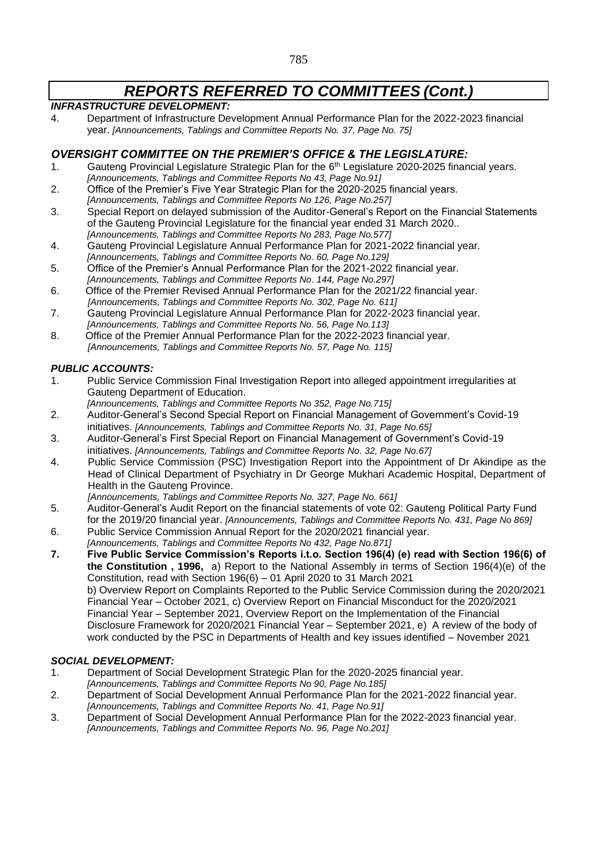### *INFRASTRUCTURE DEVELOPMENT:*

4. Department of Infrastructure Development Annual Performance Plan for the 2022-2023 financial year. *[Announcements, Tablings and Committee Reports No. 37, Page No. 75]*

### *OVERSIGHT COMMITTEE ON THE PREMIER'S OFFICE & THE LEGISLATURE:*

- 1. Gauteng Provincial Legislature Strategic Plan for the  $6<sup>th</sup>$  Legislature 2020-2025 financial years. *[Announcements, Tablings and Committee Reports No 43, Page No.91]*
- 2. Office of the Premier's Five Year Strategic Plan for the 2020-2025 financial years. *[Announcements, Tablings and Committee Reports No 126, Page No.257]*
- 3. Special Report on delayed submission of the Auditor-General's Report on the Financial Statements of the Gauteng Provincial Legislature for the financial year ended 31 March 2020.. *[Announcements, Tablings and Committee Reports No 283, Page No.577]*
- 4. Gauteng Provincial Legislature Annual Performance Plan for 2021-2022 financial year. *[Announcements, Tablings and Committee Reports No. 60, Page No.129]*
- 5. Office of the Premier's Annual Performance Plan for the 2021-2022 financial year. *[Announcements, Tablings and Committee Reports No. 144, Page No.297]*
- 6. Office of the Premier Revised Annual Performance Plan for the 2021/22 financial year. *[Announcements, Tablings and Committee Reports No. 302, Page No. 611]*
- 7. Gauteng Provincial Legislature Annual Performance Plan for 2022-2023 financial year. *[Announcements, Tablings and Committee Reports No. 56, Page No.113]*
- 8. Office of the Premier Annual Performance Plan for the 2022-2023 financial year. *[Announcements, Tablings and Committee Reports No. 57, Page No. 115]*

### *PUBLIC ACCOUNTS:*

- 1. Public Service Commission Final Investigation Report into alleged appointment irregularities at Gauteng Department of Education.
	- *[Announcements, Tablings and Committee Reports No 352, Page No.715]*
- 2. Auditor-General's Second Special Report on Financial Management of Government's Covid-19 initiatives. *[Announcements, Tablings and Committee Reports No. 31, Page No.65]*
- 3. Auditor-General's First Special Report on Financial Management of Government's Covid-19 initiatives. *[Announcements, Tablings and Committee Reports No. 32, Page No.67]*
- 4. Public Service Commission (PSC) Investigation Report into the Appointment of Dr Akindipe as the Head of Clinical Department of Psychiatry in Dr George Mukhari Academic Hospital, Department of Health in the Gauteng Province.

*[Announcements, Tablings and Committee Reports No. 327, Page No. 661]*

- 5. Auditor-General's Audit Report on the financial statements of vote 02: Gauteng Political Party Fund for the 2019/20 financial year. *[Announcements, Tablings and Committee Reports No. 431, Page No 869]*
- 6. Public Service Commission Annual Report for the 2020/2021 financial year.
- *[Announcements, Tablings and Committee Reports No 432, Page No.871]*
- **7. Five Public Service Commission's Reports i.t.o. Section 196(4) (e) read with Section 196(6) of the Constitution , 1996,** a) Report to the National Assembly in terms of Section 196(4)(e) of the Constitution, read with Section 196(6) – 01 April 2020 to 31 March 2021 b) Overview Report on Complaints Reported to the Public Service Commission during the 2020/2021 Financial Year – October 2021, c) Overview Report on Financial Misconduct for the 2020/2021 Financial Year – September 2021, Overview Report on the Implementation of the Financial Disclosure Framework for 2020/2021 Financial Year – September 2021, e) A review of the body of work conducted by the PSC in Departments of Health and key issues identified – November 2021

### *SOCIAL DEVELOPMENT:*

- 1. Department of Social Development Strategic Plan for the 2020-2025 financial year. *[Announcements, Tablings and Committee Reports No 90, Page No.185]*
- 2. Department of Social Development Annual Performance Plan for the 2021-2022 financial year. *[Announcements, Tablings and Committee Reports No. 41, Page No.91]*
- 3. Department of Social Development Annual Performance Plan for the 2022-2023 financial year. *[Announcements, Tablings and Committee Reports No. 96, Page No.201]*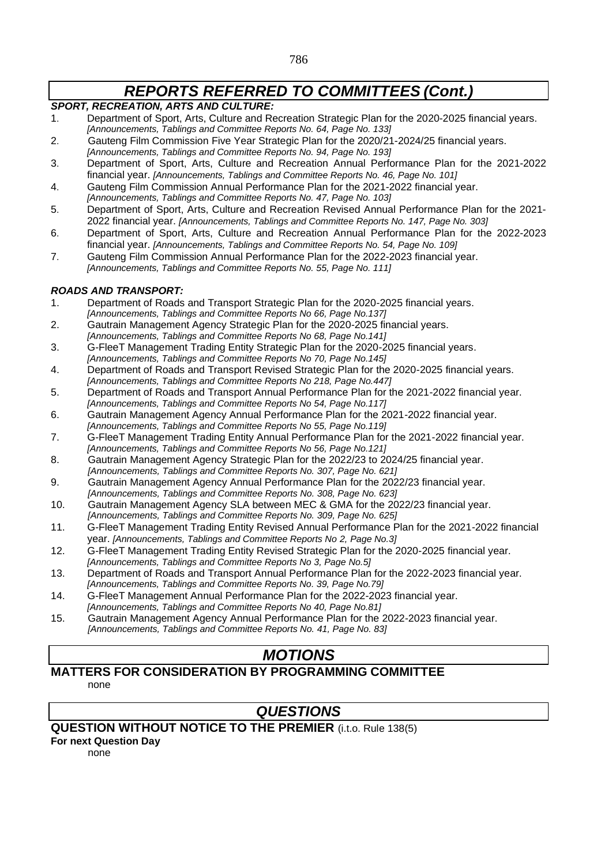### *SPORT, RECREATION, ARTS AND CULTURE:*

- 1. Department of Sport, Arts, Culture and Recreation Strategic Plan for the 2020-2025 financial years. *[Announcements, Tablings and Committee Reports No. 64, Page No. 133]*
- 2. Gauteng Film Commission Five Year Strategic Plan for the 2020/21-2024/25 financial years.
- *[Announcements, Tablings and Committee Reports No. 94, Page No. 193]*
- 3. Department of Sport, Arts, Culture and Recreation Annual Performance Plan for the 2021-2022 financial year. *[Announcements, Tablings and Committee Reports No. 46, Page No. 101]*
- 4. Gauteng Film Commission Annual Performance Plan for the 2021-2022 financial year. *[Announcements, Tablings and Committee Reports No. 47, Page No. 103]*
- 5. Department of Sport, Arts, Culture and Recreation Revised Annual Performance Plan for the 2021- 2022 financial year. *[Announcements, Tablings and Committee Reports No. 147, Page No. 303]*
- 6. Department of Sport, Arts, Culture and Recreation Annual Performance Plan for the 2022-2023 financial year. *[Announcements, Tablings and Committee Reports No. 54, Page No. 109]*
- 7. Gauteng Film Commission Annual Performance Plan for the 2022-2023 financial year. *[Announcements, Tablings and Committee Reports No. 55, Page No. 111]*

### *ROADS AND TRANSPORT:*

- 1. Department of Roads and Transport Strategic Plan for the 2020-2025 financial years. *[Announcements, Tablings and Committee Reports No 66, Page No.137]*
- 2. Gautrain Management Agency Strategic Plan for the 2020-2025 financial years. *[Announcements, Tablings and Committee Reports No 68, Page No.141]*
- 3. G-FleeT Management Trading Entity Strategic Plan for the 2020-2025 financial years. *[Announcements, Tablings and Committee Reports No 70, Page No.145]*
- 4. Department of Roads and Transport Revised Strategic Plan for the 2020-2025 financial years. *[Announcements, Tablings and Committee Reports No 218, Page No.447]*
- 5. Department of Roads and Transport Annual Performance Plan for the 2021-2022 financial year. *[Announcements, Tablings and Committee Reports No 54, Page No.117]*
- 6. Gautrain Management Agency Annual Performance Plan for the 2021-2022 financial year. *[Announcements, Tablings and Committee Reports No 55, Page No.119]*
- 7. G-FleeT Management Trading Entity Annual Performance Plan for the 2021-2022 financial year. *[Announcements, Tablings and Committee Reports No 56, Page No.121]*
- 8. Gautrain Management Agency Strategic Plan for the 2022/23 to 2024/25 financial year. *[Announcements, Tablings and Committee Reports No. 307, Page No. 621]*
- 9. Gautrain Management Agency Annual Performance Plan for the 2022/23 financial year. *[Announcements, Tablings and Committee Reports No. 308, Page No. 623]*
- 10. Gautrain Management Agency SLA between MEC & GMA for the 2022/23 financial year. *[Announcements, Tablings and Committee Reports No. 309, Page No. 625]*
- 11. G-FleeT Management Trading Entity Revised Annual Performance Plan for the 2021-2022 financial year. *[Announcements, Tablings and Committee Reports No 2, Page No.3]*
- 12. G-FleeT Management Trading Entity Revised Strategic Plan for the 2020-2025 financial year. *[Announcements, Tablings and Committee Reports No 3, Page No.5]*
- 13. Department of Roads and Transport Annual Performance Plan for the 2022-2023 financial year.
- *[Announcements, Tablings and Committee Reports No. 39, Page No.79]*
- 14. G-FleeT Management Annual Performance Plan for the 2022-2023 financial year. *[Announcements, Tablings and Committee Reports No 40, Page No.81]*
- 15. Gautrain Management Agency Annual Performance Plan for the 2022-2023 financial year. *[Announcements, Tablings and Committee Reports No. 41, Page No. 83]*

# *MOTIONS*

#### **MATTERS FOR CONSIDERATION BY PROGRAMMING COMMITTEE**  none

## *QUESTIONS*

### **QUESTION WITHOUT NOTICE TO THE PREMIER** (i.t.o. Rule 138(5)

**For next Question Day**

none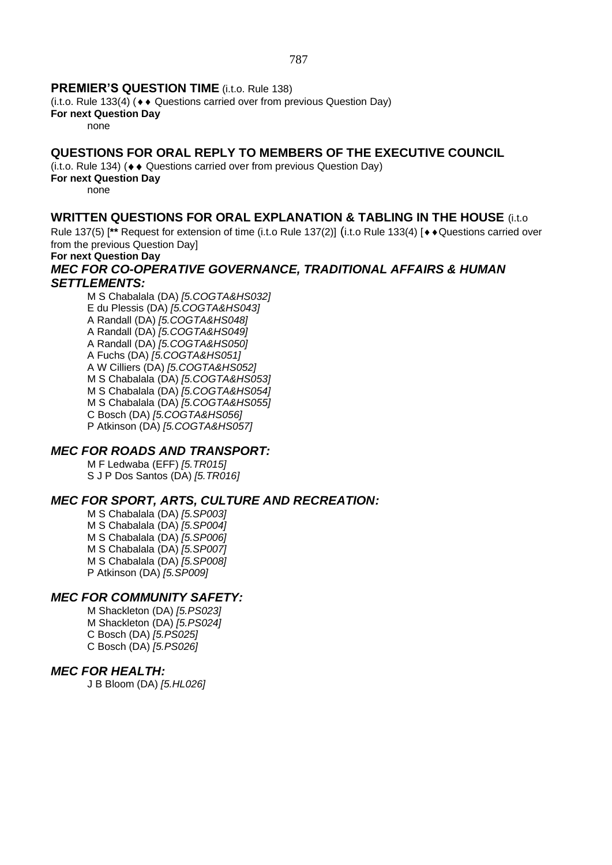### **PREMIER'S QUESTION TIME** (i.t.o. Rule 138)

(i.t.o. Rule 133(4) ( $\leftrightarrow$  Questions carried over from previous Question Day)

**For next Question Day**

none

### **QUESTIONS FOR ORAL REPLY TO MEMBERS OF THE EXECUTIVE COUNCIL**

 $(i.t. o. Rule 134)$  ( $\leftrightarrow$  Questions carried over from previous Question Day)

**For next Question Day**

none

### **WRITTEN QUESTIONS FOR ORAL EXPLANATION & TABLING IN THE HOUSE** (i.t.o

Rule 137(5) [<sup>\*\*</sup> Request for extension of time (i.t.o Rule 137(2)] (i.t.o Rule 133(4) [ $\leftrightarrow$  Questions carried over from the previous Question Day]

### **For next Question Day**

### *MEC FOR CO-OPERATIVE GOVERNANCE, TRADITIONAL AFFAIRS & HUMAN SETTLEMENTS:*

M S Chabalala (DA) *[5.COGTA&HS032]* E du Plessis (DA) *[5.COGTA&HS043]* A Randall (DA) *[5.COGTA&HS048]* A Randall (DA) *[5.COGTA&HS049]* A Randall (DA) *[5.COGTA&HS050]* A Fuchs (DA) *[5.COGTA&HS051]* A W Cilliers (DA) *[5.COGTA&HS052]* M S Chabalala (DA) *[5.COGTA&HS053]* M S Chabalala (DA) *[5.COGTA&HS054]* M S Chabalala (DA) *[5.COGTA&HS055]* C Bosch (DA) *[5.COGTA&HS056]* P Atkinson (DA) *[5.COGTA&HS057]*

### *MEC FOR ROADS AND TRANSPORT:*

M F Ledwaba (EFF) *[5.TR015]* S J P Dos Santos (DA) *[5.TR016]*

### *MEC FOR SPORT, ARTS, CULTURE AND RECREATION:*

M S Chabalala (DA) *[5.SP003]* M S Chabalala (DA) *[5.SP004]* M S Chabalala (DA) *[5.SP006]* M S Chabalala (DA) *[5.SP007]* M S Chabalala (DA) *[5.SP008]* P Atkinson (DA) *[5.SP009]*

### *MEC FOR COMMUNITY SAFETY:*

M Shackleton (DA) *[5.PS023]* M Shackleton (DA) *[5.PS024]* C Bosch (DA) *[5.PS025]* C Bosch (DA) *[5.PS026]*

### *MEC FOR HEALTH:*

J B Bloom (DA) *[5.HL026]*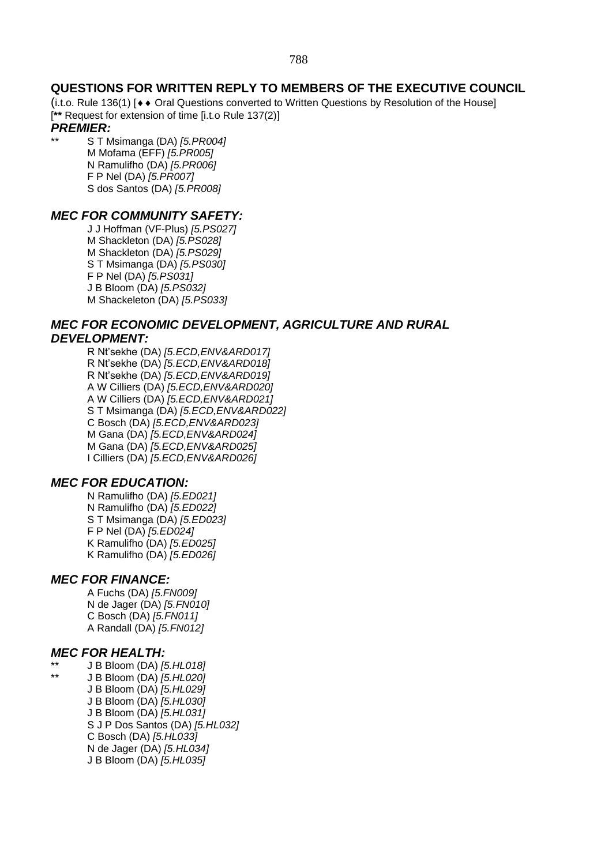### **QUESTIONS FOR WRITTEN REPLY TO MEMBERS OF THE EXECUTIVE COUNCIL**

(i.t.o. Rule 136(1)  $\leftrightarrow$  Oral Questions converted to Written Questions by Resolution of the House] [**\*\*** Request for extension of time [i.t.o Rule 137(2)]

### *PREMIER:*

\*\* S T Msimanga (DA) *[5.PR004]* M Mofama (EFF) *[5.PR005]* N Ramulifho (DA) *[5.PR006]* F P Nel (DA) *[5.PR007]* S dos Santos (DA) *[5.PR008]*

### *MEC FOR COMMUNITY SAFETY:*

J J Hoffman (VF-Plus) *[5.PS027]* M Shackleton (DA) *[5.PS028]* M Shackleton (DA) *[5.PS029]* S T Msimanga (DA) *[5.PS030]* F P Nel (DA) *[5.PS031]* J B Bloom (DA) *[5.PS032]* M Shackeleton (DA) *[5.PS033]*

### *MEC FOR ECONOMIC DEVELOPMENT, AGRICULTURE AND RURAL DEVELOPMENT:*

R Nt'sekhe (DA) *[5.ECD,ENV&ARD017]* R Nt'sekhe (DA) *[5.ECD,ENV&ARD018]* R Nt'sekhe (DA) *[5.ECD,ENV&ARD019]* A W Cilliers (DA) *[5.ECD,ENV&ARD020]* A W Cilliers (DA) *[5.ECD,ENV&ARD021]* S T Msimanga (DA) *[5.ECD,ENV&ARD022]* C Bosch (DA) *[5.ECD,ENV&ARD023]* M Gana (DA) *[5.ECD,ENV&ARD024]* M Gana (DA) *[5.ECD,ENV&ARD025]* I Cilliers (DA) *[5.ECD,ENV&ARD026]*

### *MEC FOR EDUCATION:*

N Ramulifho (DA) *[5.ED021]* N Ramulifho (DA) *[5.ED022]* S T Msimanga (DA) *[5.ED023]* F P Nel (DA) *[5.ED024]* K Ramulifho (DA) *[5.ED025]* K Ramulifho (DA) *[5.ED026]*

### *MEC FOR FINANCE:*

A Fuchs (DA) *[5.FN009]* N de Jager (DA) *[5.FN010]* C Bosch (DA) *[5.FN011]* A Randall (DA) *[5.FN012]*

### *MEC FOR HEALTH:*

- \*\* J B Bloom (DA) *[5.HL018]*
	- \*\* J B Bloom (DA) *[5.HL020]* J B Bloom (DA) *[5.HL029]* J B Bloom (DA) *[5.HL030]* J B Bloom (DA) *[5.HL031]* S J P Dos Santos (DA) *[5.HL032]* C Bosch (DA) *[5.HL033]* N de Jager (DA) *[5.HL034]* J B Bloom (DA) *[5.HL035]*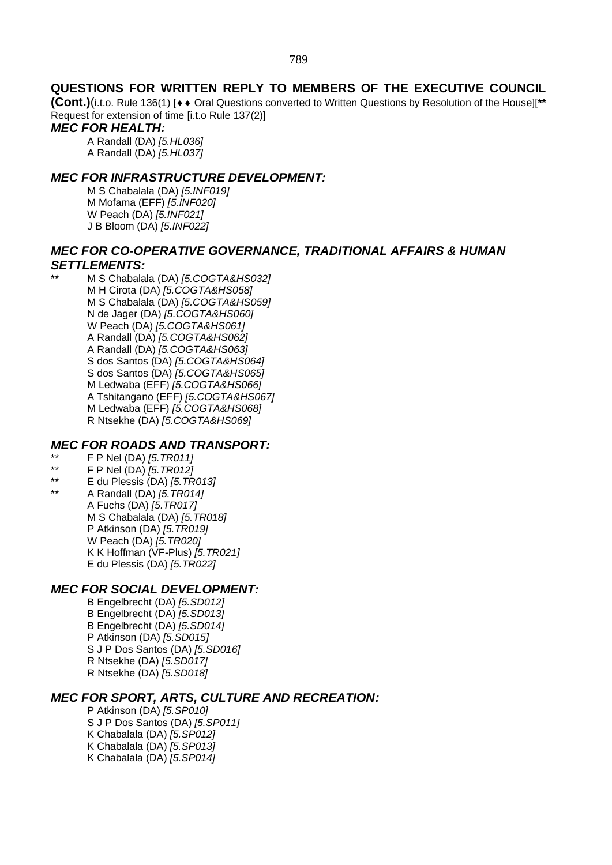### **QUESTIONS FOR WRITTEN REPLY TO MEMBERS OF THE EXECUTIVE COUNCIL**

**(Cont.)**(i.t.o. Rule 136(1) [◆◆ Oral Questions converted to Written Questions by Resolution of the House][\*\* Request for extension of time [i.t.o Rule 137(2)]

### *MEC FOR HEALTH:*

A Randall (DA) *[5.HL036]* A Randall (DA) *[5.HL037]*

### *MEC FOR INFRASTRUCTURE DEVELOPMENT:*

M S Chabalala (DA) *[5.INF019]* M Mofama (EFF) *[5.INF020]* W Peach (DA) *[5.INF021]* J B Bloom (DA) *[5.INF022]*

### *MEC FOR CO-OPERATIVE GOVERNANCE, TRADITIONAL AFFAIRS & HUMAN SETTLEMENTS:*

\*\* M S Chabalala (DA) *[5.COGTA&HS032]* M H Cirota (DA) *[5.COGTA&HS058]* M S Chabalala (DA) *[5.COGTA&HS059]* N de Jager (DA) *[5.COGTA&HS060]* W Peach (DA) *[5.COGTA&HS061]* A Randall (DA) *[5.COGTA&HS062]* A Randall (DA) *[5.COGTA&HS063]* S dos Santos (DA) *[5.COGTA&HS064]* S dos Santos (DA) *[5.COGTA&HS065]* M Ledwaba (EFF) *[5.COGTA&HS066]* A Tshitangano (EFF) *[5.COGTA&HS067]* M Ledwaba (EFF) *[5.COGTA&HS068]* R Ntsekhe (DA) *[5.COGTA&HS069]*

### *MEC FOR ROADS AND TRANSPORT:*

- \*\* F P Nel (DA) *[5.TR011]*
- \*\* F P Nel (DA) *[5.TR012]*
- \*\* E du Plessis (DA) *[5.TR013]*
- \*\* A Randall (DA) *[5.TR014]* A Fuchs (DA) *[5.TR017]* M S Chabalala (DA) *[5.TR018]* P Atkinson (DA) *[5.TR019]* W Peach (DA) *[5.TR020]*

# *MEC FOR SOCIAL DEVELOPMENT:*

K K Hoffman (VF-Plus) *[5.TR021]* E du Plessis (DA) *[5.TR022]*

B Engelbrecht (DA) *[5.SD012]* B Engelbrecht (DA) *[5.SD013]* B Engelbrecht (DA) *[5.SD014]* P Atkinson (DA) *[5.SD015]* S J P Dos Santos (DA) *[5.SD016]* R Ntsekhe (DA) *[5.SD017]* R Ntsekhe (DA) *[5.SD018]*

### *MEC FOR SPORT, ARTS, CULTURE AND RECREATION:*

P Atkinson (DA) *[5.SP010]* S J P Dos Santos (DA) *[5.SP011]* K Chabalala (DA) *[5.SP012]* K Chabalala (DA) *[5.SP013]* K Chabalala (DA) *[5.SP014]*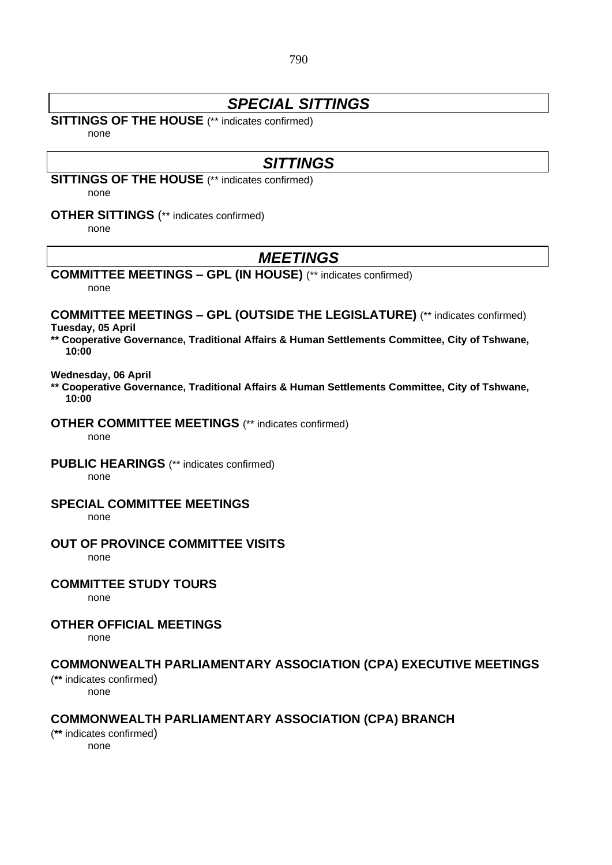### *SPECIAL SITTINGS*

### **SITTINGS OF THE HOUSE** (\*\* indicates confirmed)

none

## *SITTINGS*

**SITTINGS OF THE HOUSE** (\*\* indicates confirmed)

none

### **OTHER SITTINGS** (\*\* indicates confirmed)

none

### *MEETINGS*

### **COMMITTEE MEETINGS – GPL (IN HOUSE)** (\*\* indicates confirmed)

none

#### **COMMITTEE MEETINGS – GPL (OUTSIDE THE LEGISLATURE)** (\*\* indicates confirmed) **Tuesday, 05 April**

**\*\* Cooperative Governance, Traditional Affairs & Human Settlements Committee, City of Tshwane, 10:00**

#### **Wednesday, 06 April**

**\*\* Cooperative Governance, Traditional Affairs & Human Settlements Committee, City of Tshwane, 10:00**

**OTHER COMMITTEE MEETINGS** (\*\* indicates confirmed)

none

**PUBLIC HEARINGS** (\*\* indicates confirmed)

none

### **SPECIAL COMMITTEE MEETINGS**

none

### **OUT OF PROVINCE COMMITTEE VISITS**

none

### **COMMITTEE STUDY TOURS**

none

### **OTHER OFFICIAL MEETINGS**

none

### **COMMONWEALTH PARLIAMENTARY ASSOCIATION (CPA) EXECUTIVE MEETINGS**

(**\*\*** indicates confirmed)

none

### **COMMONWEALTH PARLIAMENTARY ASSOCIATION (CPA) BRANCH**

(**\*\*** indicates confirmed) none